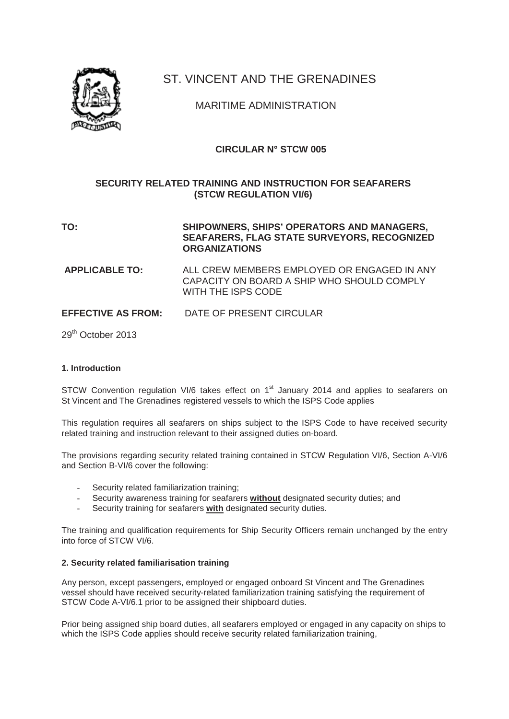

# ST. VINCENT AND THE GRENADINES

MARITIME ADMINISTRATION

# **CIRCULAR N° STCW 005**

# **SECURITY RELATED TRAINING AND INSTRUCTION FOR SEAFARERS (STCW REGULATION VI/6)**

# **TO: SHIPOWNERS, SHIPS' OPERATORS AND MANAGERS, SEAFARERS, FLAG STATE SURVEYORS, RECOGNIZED ORGANIZATIONS**

 **APPLICABLE TO:** ALL CREW MEMBERS EMPLOYED OR ENGAGED IN ANY CAPACITY ON BOARD A SHIP WHO SHOULD COMPLY WITH THE ISPS CODE

# **EFFECTIVE AS FROM:** DATE OF PRESENT CIRCULAR

29<sup>th</sup> October 2013

# **1. Introduction**

STCW Convention regulation VI/6 takes effect on 1<sup>st</sup> January 2014 and applies to seafarers on St Vincent and The Grenadines registered vessels to which the ISPS Code applies

This regulation requires all seafarers on ships subject to the ISPS Code to have received security related training and instruction relevant to their assigned duties on-board.

The provisions regarding security related training contained in STCW Regulation VI/6, Section A-VI/6 and Section B-VI/6 cover the following:

- Security related familiarization training;
- Security awareness training for seafarers **without** designated security duties; and
- Security training for seafarers **with** designated security duties.

The training and qualification requirements for Ship Security Officers remain unchanged by the entry into force of STCW VI/6.

# **2. Security related familiarisation training**

Any person, except passengers, employed or engaged onboard St Vincent and The Grenadines vessel should have received security-related familiarization training satisfying the requirement of STCW Code A-VI/6.1 prior to be assigned their shipboard duties.

Prior being assigned ship board duties, all seafarers employed or engaged in any capacity on ships to which the ISPS Code applies should receive security related familiarization training,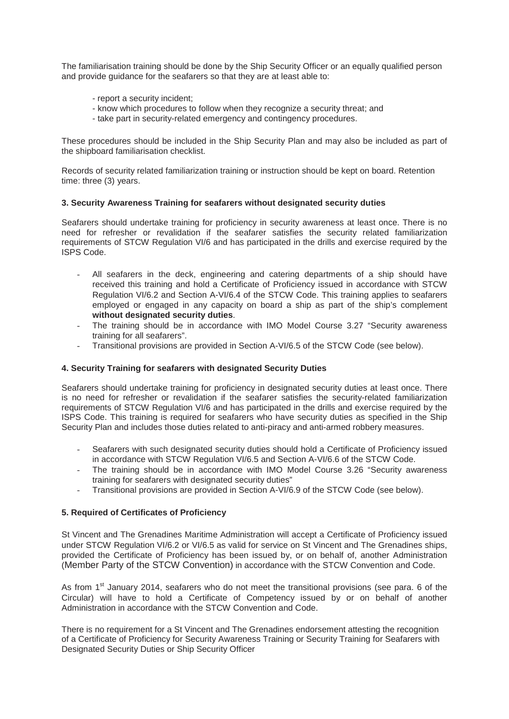The familiarisation training should be done by the Ship Security Officer or an equally qualified person and provide guidance for the seafarers so that they are at least able to:

- report a security incident;
- know which procedures to follow when they recognize a security threat; and
- take part in security-related emergency and contingency procedures.

These procedures should be included in the Ship Security Plan and may also be included as part of the shipboard familiarisation checklist.

Records of security related familiarization training or instruction should be kept on board. Retention time: three (3) years.

# **3. Security Awareness Training for seafarers without designated security duties**

Seafarers should undertake training for proficiency in security awareness at least once. There is no need for refresher or revalidation if the seafarer satisfies the security related familiarization requirements of STCW Regulation VI/6 and has participated in the drills and exercise required by the ISPS Code.

- All seafarers in the deck, engineering and catering departments of a ship should have received this training and hold a Certificate of Proficiency issued in accordance with STCW Regulation VI/6.2 and Section A-VI/6.4 of the STCW Code. This training applies to seafarers employed or engaged in any capacity on board a ship as part of the ship's complement **without designated security duties**.
- The training should be in accordance with IMO Model Course 3.27 "Security awareness training for all seafarers".
- Transitional provisions are provided in Section A-VI/6.5 of the STCW Code (see below).

# **4. Security Training for seafarers with designated Security Duties**

Seafarers should undertake training for proficiency in designated security duties at least once. There is no need for refresher or revalidation if the seafarer satisfies the security-related familiarization requirements of STCW Regulation VI/6 and has participated in the drills and exercise required by the ISPS Code. This training is required for seafarers who have security duties as specified in the Ship Security Plan and includes those duties related to anti-piracy and anti-armed robbery measures.

- Seafarers with such designated security duties should hold a Certificate of Proficiency issued in accordance with STCW Regulation VI/6.5 and Section A-VI/6.6 of the STCW Code.
- The training should be in accordance with IMO Model Course 3.26 "Security awareness" training for seafarers with designated security duties"
- Transitional provisions are provided in Section A-VI/6.9 of the STCW Code (see below).

# **5. Required of Certificates of Proficiency**

St Vincent and The Grenadines Maritime Administration will accept a Certificate of Proficiency issued under STCW Regulation VI/6.2 or VI/6.5 as valid for service on St Vincent and The Grenadines ships, provided the Certificate of Proficiency has been issued by, or on behalf of, another Administration (Member Party of the STCW Convention) in accordance with the STCW Convention and Code.

As from 1<sup>st</sup> January 2014, seafarers who do not meet the transitional provisions (see para. 6 of the Circular) will have to hold a Certificate of Competency issued by or on behalf of another Administration in accordance with the STCW Convention and Code.

There is no requirement for a St Vincent and The Grenadines endorsement attesting the recognition of a Certificate of Proficiency for Security Awareness Training or Security Training for Seafarers with Designated Security Duties or Ship Security Officer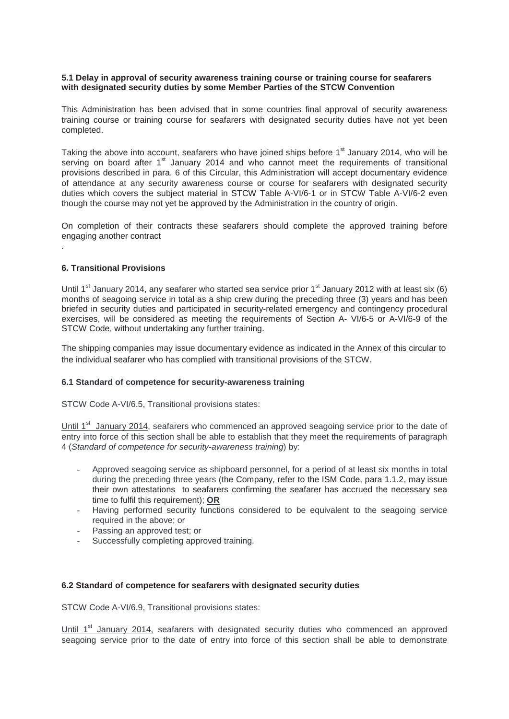## **5.1 Delay in approval of security awareness training course or training course for seafarers with designated security duties by some Member Parties of the STCW Convention**

This Administration has been advised that in some countries final approval of security awareness training course or training course for seafarers with designated security duties have not yet been completed.

Taking the above into account, seafarers who have joined ships before 1<sup>st</sup> January 2014, who will be serving on board after 1<sup>st</sup> January 2014 and who cannot meet the requirements of transitional provisions described in para. 6 of this Circular, this Administration will accept documentary evidence of attendance at any security awareness course or course for seafarers with designated security duties which covers the subject material in STCW Table A-VI/6-1 or in STCW Table A-VI/6-2 even though the course may not yet be approved by the Administration in the country of origin.

On completion of their contracts these seafarers should complete the approved training before engaging another contract

## **6. Transitional Provisions**

.

Until 1<sup>st</sup> January 2014, any seafarer who started sea service prior 1<sup>st</sup> January 2012 with at least six (6) months of seagoing service in total as a ship crew during the preceding three (3) years and has been briefed in security duties and participated in security-related emergency and contingency procedural exercises, will be considered as meeting the requirements of Section A- VI/6-5 or A-VI/6-9 of the STCW Code, without undertaking any further training.

The shipping companies may issue documentary evidence as indicated in the Annex of this circular to the individual seafarer who has complied with transitional provisions of the STCW.

#### **6.1 Standard of competence for security-awareness training**

STCW Code A-VI/6.5, Transitional provisions states:

Until  $1<sup>st</sup>$  January 2014, seafarers who commenced an approved seagoing service prior to the date of entry into force of this section shall be able to establish that they meet the requirements of paragraph 4 (*Standard of competence for security-awareness training*) by:

- Approved seagoing service as shipboard personnel, for a period of at least six months in total during the preceding three years (the Company, refer to the ISM Code, para 1.1.2, may issue their own attestations to seafarers confirming the seafarer has accrued the necessary sea time to fulfil this requirement); **OR**
- Having performed security functions considered to be equivalent to the seagoing service required in the above; or
- Passing an approved test; or
- Successfully completing approved training.

#### **6.2 Standard of competence for seafarers with designated security duties**

STCW Code A-VI/6.9, Transitional provisions states:

Until 1<sup>st</sup> January 2014, seafarers with designated security duties who commenced an approved seagoing service prior to the date of entry into force of this section shall be able to demonstrate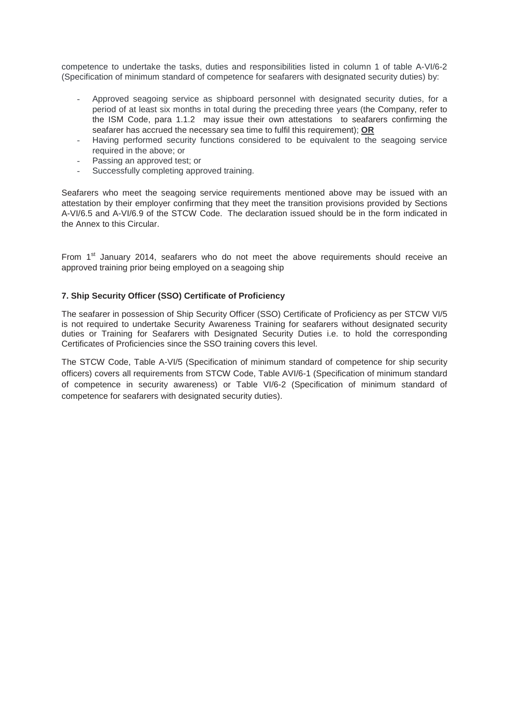competence to undertake the tasks, duties and responsibilities listed in column 1 of table A-VI/6-2 (Specification of minimum standard of competence for seafarers with designated security duties) by:

- Approved seagoing service as shipboard personnel with designated security duties, for a period of at least six months in total during the preceding three years (the Company, refer to the ISM Code, para 1.1.2 may issue their own attestations to seafarers confirming the seafarer has accrued the necessary sea time to fulfil this requirement); **OR**
- Having performed security functions considered to be equivalent to the seagoing service required in the above; or
- Passing an approved test; or
- Successfully completing approved training.

Seafarers who meet the seagoing service requirements mentioned above may be issued with an attestation by their employer confirming that they meet the transition provisions provided by Sections A-VI/6.5 and A-VI/6.9 of the STCW Code. The declaration issued should be in the form indicated in the Annex to this Circular.

From  $1<sup>st</sup>$  January 2014, seafarers who do not meet the above requirements should receive an approved training prior being employed on a seagoing ship

# **7. Ship Security Officer (SSO) Certificate of Proficiency**

The seafarer in possession of Ship Security Officer (SSO) Certificate of Proficiency as per STCW VI/5 is not required to undertake Security Awareness Training for seafarers without designated security duties or Training for Seafarers with Designated Security Duties i.e. to hold the corresponding Certificates of Proficiencies since the SSO training covers this level.

The STCW Code, Table A-VI/5 (Specification of minimum standard of competence for ship security officers) covers all requirements from STCW Code, Table AVI/6-1 (Specification of minimum standard of competence in security awareness) or Table VI/6-2 (Specification of minimum standard of competence for seafarers with designated security duties).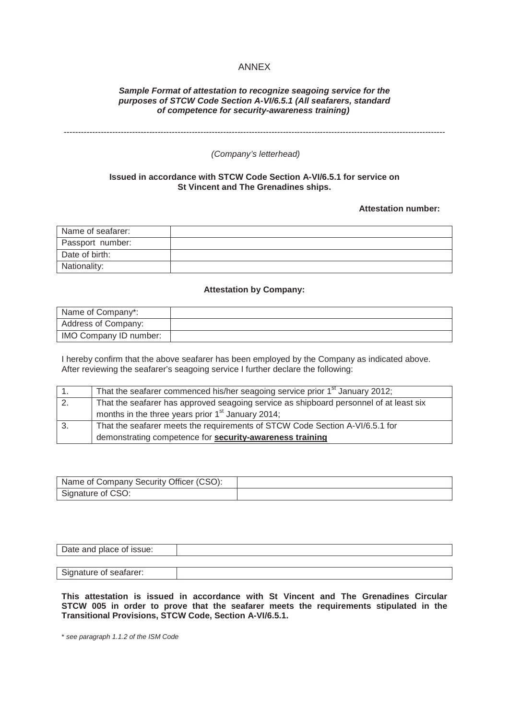## ANNEX

#### *Sample Format of attestation to recognize seagoing service for the purposes of STCW Code Section A-VI/6.5.1 (All seafarers, standard of competence for security-awareness training)*

--------------------------------------------------------------------------------------------------------------------------------------

 *(Company's letterhead)* 

## **Issued in accordance with STCW Code Section A-VI/6.5.1 for service on St Vincent and The Grenadines ships.**

#### **Attestation number:**

| Name of seafarer: |  |
|-------------------|--|
| Passport number:  |  |
| Date of birth:    |  |
| Nationality:      |  |

#### **Attestation by Company:**

| Name of Company*:      |  |
|------------------------|--|
| Address of Company:    |  |
| IMO Company ID number: |  |

I hereby confirm that the above seafarer has been employed by the Company as indicated above. After reviewing the seafarer's seagoing service I further declare the following:

|                  | That the seafarer commenced his/her seagoing service prior 1 <sup>st</sup> January 2012; |
|------------------|------------------------------------------------------------------------------------------|
| $\overline{2}$ . | That the seafarer has approved seagoing service as shipboard personnel of at least six   |
|                  | months in the three years prior 1 <sup>st</sup> January 2014;                            |
| 3.               | That the seafarer meets the requirements of STCW Code Section A-VI/6.5.1 for             |
|                  | demonstrating competence for <b>security-awareness training</b>                          |

| I Name of Company Security Officer (CSO): |  |
|-------------------------------------------|--|
| Signature of CSO:                         |  |

| Date and place of issue: |  |
|--------------------------|--|
|                          |  |
| Signature of seafarer:   |  |

**This attestation is issued in accordance with St Vincent and The Grenadines Circular STCW 005 in order to prove that the seafarer meets the requirements stipulated in the Transitional Provisions, STCW Code, Section A-VI/6.5.1.** 

\* *see paragraph 1.1.2 of the ISM Code*